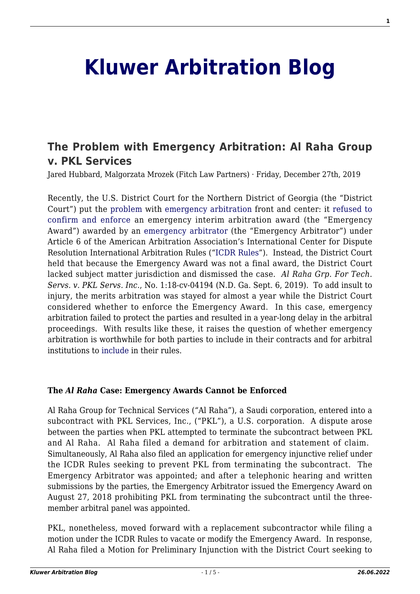# **[Kluwer Arbitration Blog](http://arbitrationblog.kluwerarbitration.com/)**

## **[The Problem with Emergency Arbitration: Al Raha Group](http://arbitrationblog.kluwerarbitration.com/2019/12/27/the-problem-with-emergency-arbitration-al-raha-group-v-pkl-services/) [v. PKL Services](http://arbitrationblog.kluwerarbitration.com/2019/12/27/the-problem-with-emergency-arbitration-al-raha-group-v-pkl-services/)**

Jared Hubbard, Malgorzata Mrozek (Fitch Law Partners) · Friday, December 27th, 2019

Recently, the U.S. District Court for the Northern District of Georgia (the "District Court") put the [problem](http://www.kluwerarbitration.com/document/kli-ka-lopez-rodriguez-2019-ch05?q=%22emergency%20arbitration%22) with [emergency arbitration](http://www.kluwerarbitration.com/document/kli-ka-belgianreview-2017-01-005-n?q=%22emergency%20arbitration%22) front and center: it [refused to](http://arbitrationblog.kluwerarbitration.com/wp-content/uploads/sites/48/2019/12/Al-Raha-v.-PKL-.pdf) [confirm and enforce](http://arbitrationblog.kluwerarbitration.com/wp-content/uploads/sites/48/2019/12/Al-Raha-v.-PKL-.pdf) an emergency interim arbitration award (the "Emergency Award") awarded by an [emergency arbitrator](http://www.kluwerarbitration.com/document/kli-ka-shaughnessy-2017-ch32?q=%22emergency%20arbitration%22) (the "Emergency Arbitrator") under Article 6 of the American Arbitration Association's International Center for Dispute Resolution International Arbitration Rules ("[ICDR Rules](https://www.adr.org/sites/default/files/ICDR%20Rules_0.pdf)"). Instead, the District Court held that because the Emergency Award was not a final award, the District Court lacked subject matter jurisdiction and dismissed the case. *Al Raha Grp. For Tech. Servs. v. PKL Servs. Inc*., No. 1:18-cv-04194 (N.D. Ga. Sept. 6, 2019). To add insult to injury, the merits arbitration was stayed for almost a year while the District Court considered whether to enforce the Emergency Award. In this case, emergency arbitration failed to protect the parties and resulted in a year-long delay in the arbitral proceedings. With results like these, it raises the question of whether emergency arbitration is worthwhile for both parties to include in their contracts and for arbitral institutions to [include](http://www.kluwerarbitration.com/document/kli-ka-adr-2015026-n?q=%22emergency%20arbitration%22) in their rules.

#### **The** *Al Raha* **Case: Emergency Awards Cannot be Enforced**

Al Raha Group for Technical Services ("Al Raha"), a Saudi corporation, entered into a subcontract with PKL Services, Inc., ("PKL"), a U.S. corporation. A dispute arose between the parties when PKL attempted to terminate the subcontract between PKL and Al Raha. Al Raha filed a demand for arbitration and statement of claim. Simultaneously, Al Raha also filed an application for emergency injunctive relief under the ICDR Rules seeking to prevent PKL from terminating the subcontract. The Emergency Arbitrator was appointed; and after a telephonic hearing and written submissions by the parties, the Emergency Arbitrator issued the Emergency Award on August 27, 2018 prohibiting PKL from terminating the subcontract until the threemember arbitral panel was appointed.

PKL, nonetheless, moved forward with a replacement subcontractor while filing a motion under the ICDR Rules to vacate or modify the Emergency Award. In response, Al Raha filed a Motion for Preliminary Injunction with the District Court seeking to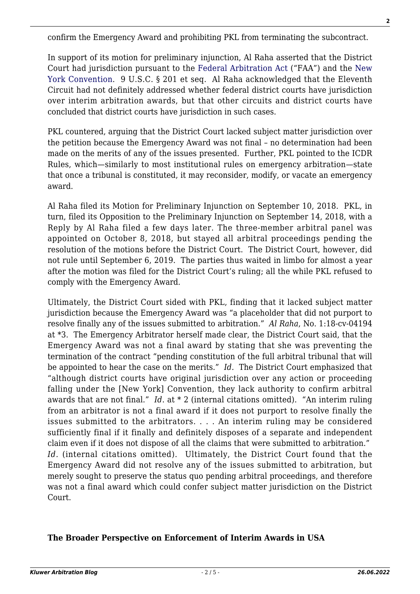confirm the Emergency Award and prohibiting PKL from terminating the subcontract.

In support of its motion for preliminary injunction, Al Raha asserted that the District Court had jurisdiction pursuant to the [Federal Arbitration Act](https://www.law.cornell.edu/uscode/text/9) ("FAA") and the [New](http://www.kluwerarbitration.com/document/kli-ka-born-2014-ch26?q=%22new%20york%20convention%22) [York Convention.](http://www.kluwerarbitration.com/document/kli-ka-born-2014-ch26?q=%22new%20york%20convention%22) 9 U.S.C. § 201 et seq. Al Raha acknowledged that the Eleventh Circuit had not definitely addressed whether federal district courts have jurisdiction over interim arbitration awards, but that other circuits and district courts have concluded that district courts have jurisdiction in such cases.

PKL countered, arguing that the District Court lacked subject matter jurisdiction over the petition because the Emergency Award was not final – no determination had been made on the merits of any of the issues presented. Further, PKL pointed to the ICDR Rules, which—similarly to most institutional rules on emergency arbitration—state that once a tribunal is constituted, it may reconsider, modify, or vacate an emergency award.

Al Raha filed its Motion for Preliminary Injunction on September 10, 2018. PKL, in turn, filed its Opposition to the Preliminary Injunction on September 14, 2018, with a Reply by Al Raha filed a few days later. The three-member arbitral panel was appointed on October 8, 2018, but stayed all arbitral proceedings pending the resolution of the motions before the District Court. The District Court, however, did not rule until September 6, 2019. The parties thus waited in limbo for almost a year after the motion was filed for the District Court's ruling; all the while PKL refused to comply with the Emergency Award.

Ultimately, the District Court sided with PKL, finding that it lacked subject matter jurisdiction because the Emergency Award was "a placeholder that did not purport to resolve finally any of the issues submitted to arbitration." *Al Raha*, No. 1:18-cv-04194 at \*3. The Emergency Arbitrator herself made clear, the District Court said, that the Emergency Award was not a final award by stating that she was preventing the termination of the contract "pending constitution of the full arbitral tribunal that will be appointed to hear the case on the merits." *Id.* The District Court emphasized that "although district courts have original jurisdiction over any action or proceeding falling under the [New York] Convention, they lack authority to confirm arbitral awards that are not final." *Id*. at \* 2 (internal citations omitted). "An interim ruling from an arbitrator is not a final award if it does not purport to resolve finally the issues submitted to the arbitrators. . . . An interim ruling may be considered sufficiently final if it finally and definitely disposes of a separate and independent claim even if it does not dispose of all the claims that were submitted to arbitration." *Id.* (internal citations omitted). Ultimately, the District Court found that the Emergency Award did not resolve any of the issues submitted to arbitration, but merely sought to preserve the status quo pending arbitral proceedings, and therefore was not a final award which could confer subject matter jurisdiction on the District Court.

#### **The Broader Perspective on Enforcement of Interim Awards in USA**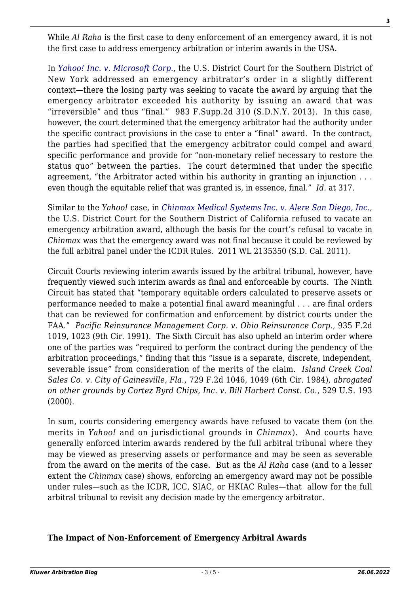While *Al Raha* is the first case to deny enforcement of an emergency award, it is not the first case to address emergency arbitration or interim awards in the USA.

In *[Yahoo! Inc. v. Microsoft Corp.](https://law.justia.com/cases/federal/district-courts/new-york/nysdce/1:2013cv07237/418671/26/)*, the U.S. District Court for the Southern District of New York addressed an emergency arbitrator's order in a slightly different context—there the losing party was seeking to vacate the award by arguing that the emergency arbitrator exceeded his authority by issuing an award that was "irreversible" and thus "final." 983 F.Supp.2d 310 (S.D.N.Y. 2013). In this case, however, the court determined that the emergency arbitrator had the authority under the specific contract provisions in the case to enter a "final" award. In the contract, the parties had specified that the emergency arbitrator could compel and award specific performance and provide for "non-monetary relief necessary to restore the status quo" between the parties. The court determined that under the specific agreement, "the Arbitrator acted within his authority in granting an injunction . . . even though the equitable relief that was granted is, in essence, final." *Id.* at 317.

Similar to the *Yahoo!* case, in *[Chinmax Medical Systems Inc. v. Alere San Diego, Inc.](https://casetext.com/case/chinmax-medical-systems-inc-v-alere-san-diego)*, the U.S. District Court for the Southern District of California refused to vacate an emergency arbitration award, although the basis for the court's refusal to vacate in *Chinmax* was that the emergency award was not final because it could be reviewed by the full arbitral panel under the ICDR Rules. 2011 WL 2135350 (S.D. Cal. 2011).

Circuit Courts reviewing interim awards issued by the arbitral tribunal, however, have frequently viewed such interim awards as final and enforceable by courts. The Ninth Circuit has stated that "temporary equitable orders calculated to preserve assets or performance needed to make a potential final award meaningful . . . are final orders that can be reviewed for confirmation and enforcement by district courts under the FAA." *Pacific Reinsurance Management Corp. v. Ohio Reinsurance Corp.*, 935 F.2d 1019, 1023 (9th Cir. 1991). The Sixth Circuit has also upheld an interim order where one of the parties was "required to perform the contract during the pendency of the arbitration proceedings," finding that this "issue is a separate, discrete, independent, severable issue" from consideration of the merits of the claim. *Island Creek Coal Sales Co. v. City of Gainesville, Fla.*, 729 F.2d 1046, 1049 (6th Cir. 1984), *abrogated on other grounds by Cortez Byrd Chips, Inc. v. Bill Harbert Const. Co.*, 529 U.S. 193 (2000).

In sum, courts considering emergency awards have refused to vacate them (on the merits in *Yahoo!* and on jurisdictional grounds in *Chinmax*). And courts have generally enforced interim awards rendered by the full arbitral tribunal where they may be viewed as preserving assets or performance and may be seen as severable from the award on the merits of the case. But as the *Al Raha* case (and to a lesser extent the *Chinmax* case) shows, enforcing an emergency award may not be possible under rules—such as the ICDR, ICC, SIAC, or HKIAC Rules—that allow for the full arbitral tribunal to revisit any decision made by the emergency arbitrator.

### **The Impact of Non-Enforcement of Emergency Arbitral Awards**

**3**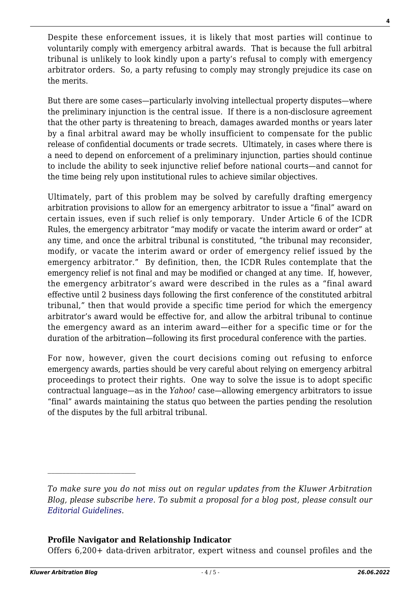Despite these enforcement issues, it is likely that most parties will continue to voluntarily comply with emergency arbitral awards. That is because the full arbitral tribunal is unlikely to look kindly upon a party's refusal to comply with emergency arbitrator orders. So, a party refusing to comply may strongly prejudice its case on the merits.

But there are some cases—particularly involving intellectual property disputes—where the preliminary injunction is the central issue. If there is a non-disclosure agreement that the other party is threatening to breach, damages awarded months or years later by a final arbitral award may be wholly insufficient to compensate for the public release of confidential documents or trade secrets. Ultimately, in cases where there is a need to depend on enforcement of a preliminary injunction, parties should continue to include the ability to seek injunctive relief before national courts—and cannot for the time being rely upon institutional rules to achieve similar objectives.

Ultimately, part of this problem may be solved by carefully drafting emergency arbitration provisions to allow for an emergency arbitrator to issue a "final" award on certain issues, even if such relief is only temporary. Under Article 6 of the ICDR Rules, the emergency arbitrator "may modify or vacate the interim award or order" at any time, and once the arbitral tribunal is constituted, "the tribunal may reconsider, modify, or vacate the interim award or order of emergency relief issued by the emergency arbitrator." By definition, then, the ICDR Rules contemplate that the emergency relief is not final and may be modified or changed at any time. If, however, the emergency arbitrator's award were described in the rules as a "final award effective until 2 business days following the first conference of the constituted arbitral tribunal," then that would provide a specific time period for which the emergency arbitrator's award would be effective for, and allow the arbitral tribunal to continue the emergency award as an interim award—either for a specific time or for the duration of the arbitration—following its first procedural conference with the parties.

For now, however, given the court decisions coming out refusing to enforce emergency awards, parties should be very careful about relying on emergency arbitral proceedings to protect their rights. One way to solve the issue is to adopt specific contractual language—as in the *Yahoo!* case—allowing emergency arbitrators to issue "final" awards maintaining the status quo between the parties pending the resolution of the disputes by the full arbitral tribunal.

#### **Profile Navigator and Relationship Indicator**

Offers 6,200+ data-driven arbitrator, expert witness and counsel profiles and the

*To make sure you do not miss out on regular updates from the Kluwer Arbitration Blog, please subscribe [here](http://arbitrationblog.kluwerarbitration.com/newsletter/). To submit a proposal for a blog post, please consult our [Editorial Guidelines.](http://arbitrationblog.kluwerarbitration.com/editorial-guidelines/)*